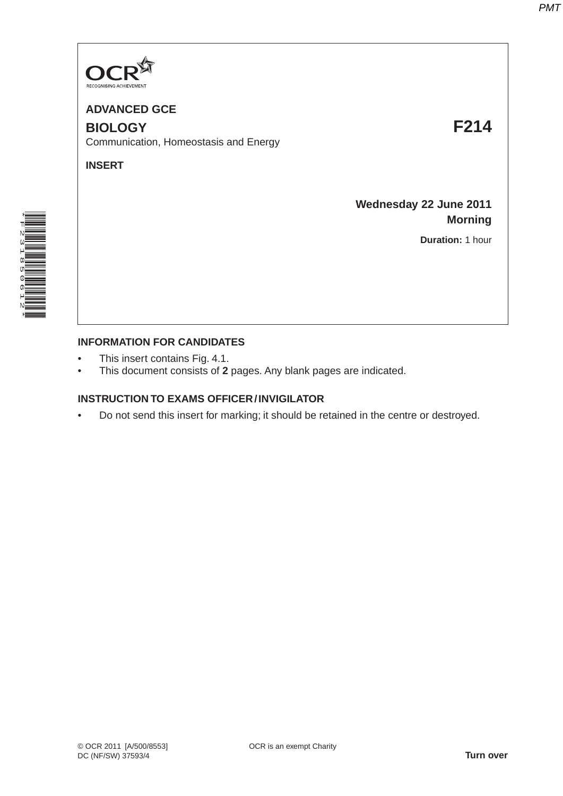

**ADVANCED GCE BIOLOGY F214** Communication, Homeostasis and Energy

**INSERT**

**Wednesday 22 June 2011 Morning**

**Duration:** 1 hour



## **INFORMATION FOR CANDIDATES**

- This insert contains Fig. 4.1.
- This document consists of **2** pages. Any blank pages are indicated.

## **INSTRUCTION TO EXAMS OFFICER / INVIGILATOR**

• Do not send this insert for marking; it should be retained in the centre or destroyed.